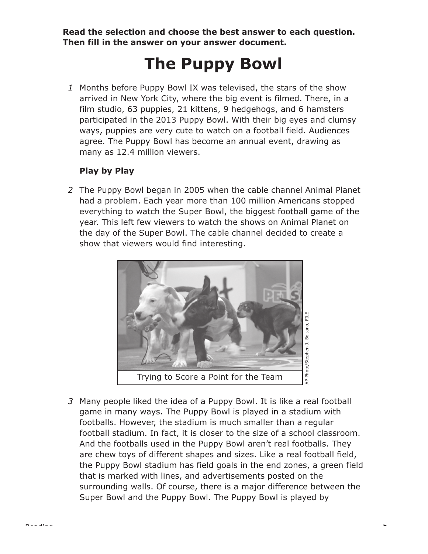**Read the selection and choose the best answer to each question. Then fill in the answer on your answer document.** 

# **The Puppy Bowl**

*1* Months before Puppy Bowl IX was televised, the stars of the show arrived in New York City, where the big event is filmed. There, in a film studio, 63 puppies, 21 kittens, 9 hedgehogs, and 6 hamsters participated in the 2013 Puppy Bowl. With their big eyes and clumsy ways, puppies are very cute to watch on a football field. Audiences agree. The Puppy Bowl has become an annual event, drawing as many as 12.4 million viewers.

## **Play by Play**

Reading

*2* The Puppy Bowl began in 2005 when the cable channel Animal Planet had a problem. Each year more than 100 million Americans stopped everything to watch the Super Bowl, the biggest football game of the year. This left few viewers to watch the shows on Animal Planet on the day of the Super Bowl. The cable channel decided to create a show that viewers would find interesting.



*3* Many people liked the idea of a Puppy Bowl. It is like a real football game in many ways. The Puppy Bowl is played in a stadium with footballs. However, the stadium is much smaller than a regular football stadium. In fact, it is closer to the size of a school classroom. And the footballs used in the Puppy Bowl aren't real footballs. They are chew toys of different shapes and sizes. Like a real football field, the Puppy Bowl stadium has field goals in the end zones, a green field that is marked with lines, and advertisements posted on the surrounding walls. Of course, there is a major difference between the Super Bowl and the Puppy Bowl. The Puppy Bowl is played by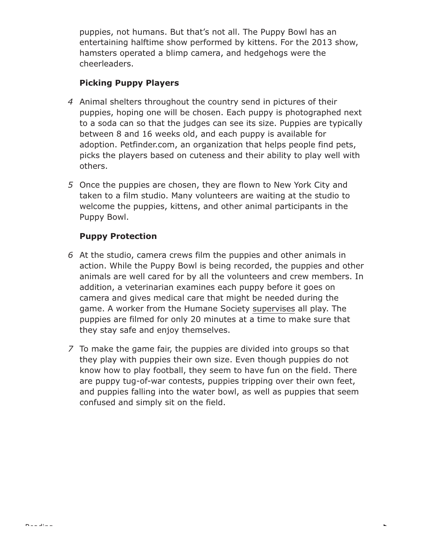puppies, not humans. But that's not all. The Puppy Bowl has an entertaining halftime show performed by kittens. For the 2013 show, hamsters operated a blimp camera, and hedgehogs were the cheerleaders.

# **Picking Puppy Players**

- *4* Animal shelters throughout the country send in pictures of their puppies, hoping one will be chosen. Each puppy is photographed next to a soda can so that the judges can see its size. Puppies are typically between 8 and 16 weeks old, and each puppy is available for adoption. Petfinder.com, an organization that helps people find pets, picks the players based on cuteness and their ability to play well with others.
- *5* Once the puppies are chosen, they are flown to New York City and taken to a film studio. Many volunteers are waiting at the studio to welcome the puppies, kittens, and other animal participants in the Puppy Bowl.

## **Puppy Protection**

- *6* At the studio, camera crews film the puppies and other animals in action. While the Puppy Bowl is being recorded, the puppies and other animals are well cared for by all the volunteers and crew members. In addition, a veterinarian examines each puppy before it goes on camera and gives medical care that might be needed during the game. A worker from the Humane Society supervises all play. The puppies are filmed for only 20 minutes at a time to make sure that they stay safe and enjoy themselves.
- *7* To make the game fair, the puppies are divided into groups so that they play with puppies their own size. Even though puppies do not know how to play football, they seem to have fun on the field. There are puppy tug-of-war contests, puppies tripping over their own feet, and puppies falling into the water bowl, as well as puppies that seem confused and simply sit on the field.

k.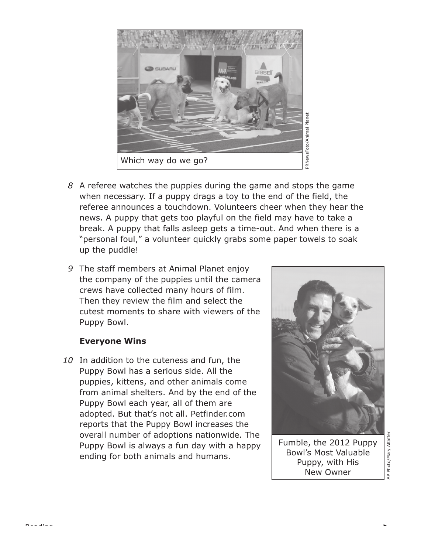

- *8* A referee watches the puppies during the game and stops the game when necessary. If a puppy drags a toy to the end of the field, the referee announces a touchdown. Volunteers cheer when they hear the news. A puppy that gets too playful on the field may have to take a break. A puppy that falls asleep gets a time-out. And when there is a "personal foul," a volunteer quickly grabs some paper towels to soak up the puddle!
- *9* The staff members at Animal Planet enjoy the company of the puppies until the camera crews have collected many hours of film. Then they review the film and select the cutest moments to share with viewers of the Puppy Bowl.

#### **Everyone Wins**

Reading

*10* In addition to the cuteness and fun, the Puppy Bowl has a serious side. All the puppies, kittens, and other animals come from animal shelters. And by the end of the Puppy Bowl each year, all of them are adopted. But that's not all. Petfinder.com reports that the Puppy Bowl increases the overall number of adoptions nationwide. The Puppy Bowl is always a fun day with a happy ending for both animals and humans.



Fumble, the 2012 Puppy Bowl's Most Valuable Puppy, with His New Owner

Photo/Mary Altaffer AP Photo/Mary Altaffer  $\overline{4}$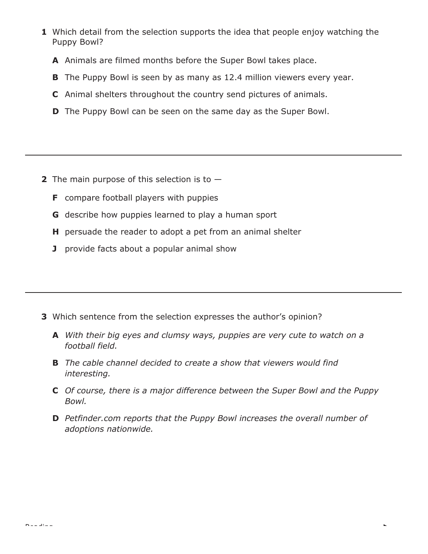- **1** Which detail from the selection supports the idea that people enjoy watching the Puppy Bowl?
	- **A** Animals are filmed months before the Super Bowl takes place.
	- **B** The Puppy Bowl is seen by as many as 12.4 million viewers every year.
	- **C** Animal shelters throughout the country send pictures of animals.
	- **D** The Puppy Bowl can be seen on the same day as the Super Bowl.

- **2** The main purpose of this selection is to
	- **F** compare football players with puppies
	- **G** describe how puppies learned to play a human sport
	- **H** persuade the reader to adopt a pet from an animal shelter
	- **J** provide facts about a popular animal show

- **3** Which sentence from the selection expresses the author's opinion?
	- **A** *With their big eyes and clumsy ways, puppies are very cute to watch on a football field.*
	- **B** *The cable channel decided to create a show that viewers would find interesting.*
	- **C** *Of course, there is a major difference between the Super Bowl and the Puppy Bowl.*
	- **D** *Petfinder.com reports that the Puppy Bowl increases the overall number of adoptions nationwide.*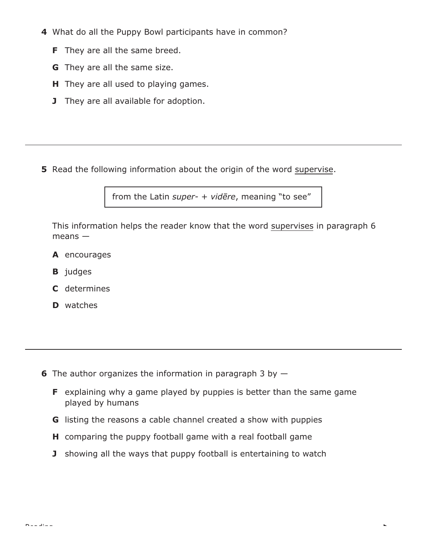- **4** What do all the Puppy Bowl participants have in common?
	- **F** They are all the same breed.
	- **G** They are all the same size.
	- **H** They are all used to playing games.
	- **J** They are all available for adoption.

**5** Read the following information about the origin of the word supervise.

from the Latin *super-* + *videre*, meaning "to see"

This information helps the reader know that the word supervises in paragraph 6 means —

- **A** encourages
- **B** *judges*
- **C** determines
- **D** watches

**6** The author organizes the information in paragraph 3 by —

- **F** explaining why a game played by puppies is better than the same game played by humans
- **G** listing the reasons a cable channel created a show with puppies
- **H** comparing the puppy football game with a real football game
- **J** showing all the ways that puppy football is entertaining to watch